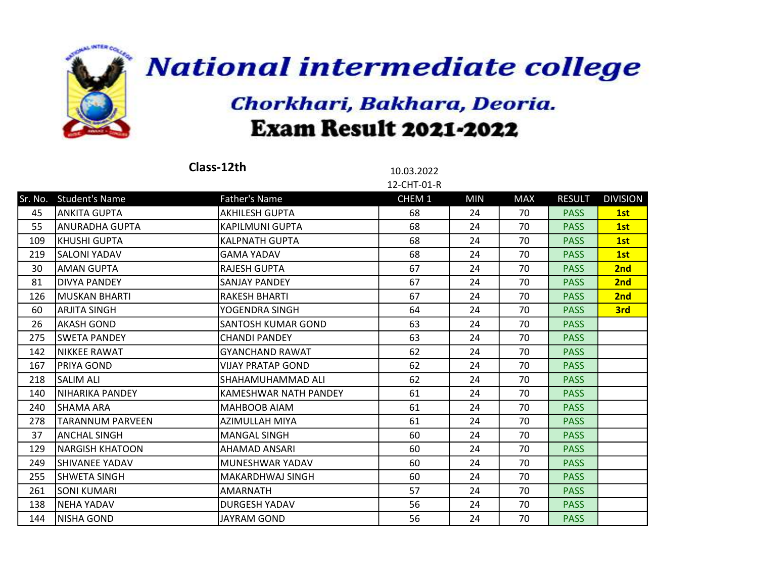

|         |                         | Class-12th               | 10.03.2022        |            |            |               |                 |
|---------|-------------------------|--------------------------|-------------------|------------|------------|---------------|-----------------|
|         |                         |                          | 12-CHT-01-R       |            |            |               |                 |
| Sr. No. | <b>Student's Name</b>   | <b>Father's Name</b>     | CHEM <sub>1</sub> | <b>MIN</b> | <b>MAX</b> | <b>RESULT</b> | <b>DIVISION</b> |
| 45      | ANKITA GUPTA            | AKHILESH GUPTA           | 68                | 24         | 70         | <b>PASS</b>   | 1st             |
| 55      | lanuradha Gupta         | <b>KAPILMUNI GUPTA</b>   | 68                | 24         | 70         | <b>PASS</b>   | 1st             |
| 109     | KHUSHI GUPTA            | <b>KALPNATH GUPTA</b>    | 68                | 24         | 70         | <b>PASS</b>   | 1st             |
| 219     | ISALONI YADAV           | <b>GAMA YADAV</b>        | 68                | 24         | 70         | <b>PASS</b>   | 1st             |
| 30      | <b>AMAN GUPTA</b>       | <b>RAJESH GUPTA</b>      | 67                | 24         | 70         | <b>PASS</b>   | 2nd             |
| 81      | <b>DIVYA PANDEY</b>     | <b>SANJAY PANDEY</b>     | 67                | 24         | 70         | <b>PASS</b>   | 2nd             |
| 126     | lmuskan bharti          | <b>RAKESH BHARTI</b>     | 67                | 24         | 70         | <b>PASS</b>   | 2nd             |
| 60      | ARJITA SINGH            | YOGENDRA SINGH           | 64                | 24         | 70         | <b>PASS</b>   | 3rd             |
| 26      | AKASH GOND              | SANTOSH KUMAR GOND       | 63                | 24         | 70         | <b>PASS</b>   |                 |
| 275     | <b>SWETA PANDEY</b>     | <b>CHANDI PANDEY</b>     | 63                | 24         | 70         | <b>PASS</b>   |                 |
| 142     | <b>NIKKEE RAWAT</b>     | <b>GYANCHAND RAWAT</b>   | 62                | 24         | 70         | <b>PASS</b>   |                 |
| 167     | PRIYA GOND              | <b>VIJAY PRATAP GOND</b> | 62                | 24         | 70         | <b>PASS</b>   |                 |
| 218     | <b>SALIM ALI</b>        | SHAHAMUHAMMAD ALI        | 62                | 24         | 70         | <b>PASS</b>   |                 |
| 140     | <b>NIHARIKA PANDEY</b>  | KAMESHWAR NATH PANDEY    | 61                | 24         | 70         | <b>PASS</b>   |                 |
| 240     | SHAMA ARA               | MAHBOOB AIAM             | 61                | 24         | 70         | <b>PASS</b>   |                 |
| 278     | <b>TARANNUM PARVEEN</b> | AZIMULLAH MIYA           | 61                | 24         | 70         | <b>PASS</b>   |                 |
| 37      | ANCHAL SINGH            | <b>MANGAL SINGH</b>      | 60                | 24         | 70         | <b>PASS</b>   |                 |
| 129     | <b>NARGISH KHATOON</b>  | AHAMAD ANSARI            | 60                | 24         | 70         | <b>PASS</b>   |                 |
| 249     | lSHIVANEE YADAV         | MUNESHWAR YADAV          | 60                | 24         | 70         | <b>PASS</b>   |                 |
| 255     | ISHWETA SINGH           | <b>MAKARDHWAJ SINGH</b>  | 60                | 24         | 70         | <b>PASS</b>   |                 |
| 261     | SONI KUMARI             | <b>AMARNATH</b>          | 57                | 24         | 70         | <b>PASS</b>   |                 |
| 138     | <b>NEHA YADAV</b>       | <b>DURGESH YADAV</b>     | 56                | 24         | 70         | <b>PASS</b>   |                 |
| 144     | NISHA GOND              | JAYRAM GOND              | 56                | 24         | 70         | <b>PASS</b>   |                 |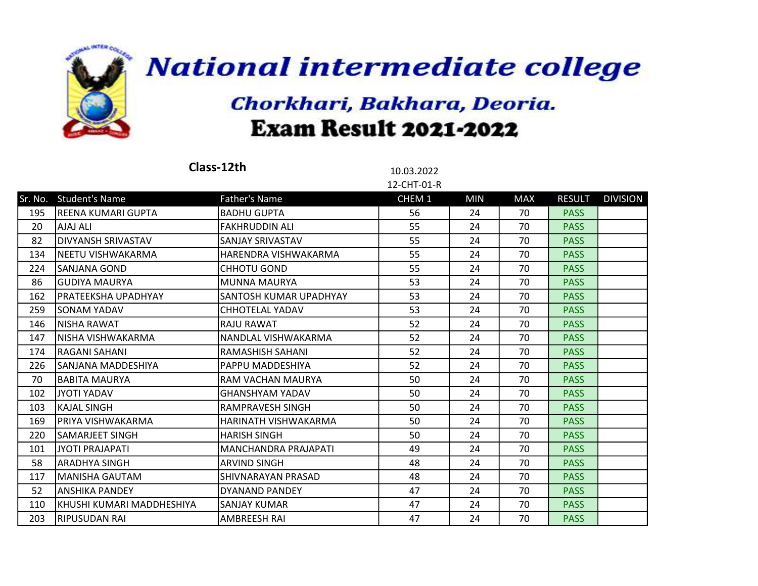

|     |                            | Class-12th                  | 10.03.2022  |            |            |               |                 |
|-----|----------------------------|-----------------------------|-------------|------------|------------|---------------|-----------------|
|     |                            |                             | 12-CHT-01-R |            |            |               |                 |
|     | Sr. No. Student's Name     | <b>Father's Name</b>        | CHEM 1      | <b>MIN</b> | <b>MAX</b> | <b>RESULT</b> | <b>DIVISION</b> |
| 195 | lREENA KUMARI GUPTA        | <b>BADHU GUPTA</b>          | 56          | 24         | 70         | <b>PASS</b>   |                 |
| 20  | AJAJ ALI                   | <b>FAKHRUDDIN ALI</b>       | 55          | 24         | 70         | <b>PASS</b>   |                 |
| 82  | <b>DIVYANSH SRIVASTAV</b>  | SANJAY SRIVASTAV            | 55          | 24         | 70         | <b>PASS</b>   |                 |
| 134 | NEETU VISHWAKARMA          | HARENDRA VISHWAKARMA        | 55          | 24         | 70         | <b>PASS</b>   |                 |
| 224 | lSANJANA GOND              | <b>CHHOTU GOND</b>          | 55          | 24         | 70         | <b>PASS</b>   |                 |
| 86  | lGUDIYA MAURYA             | <b>MUNNA MAURYA</b>         | 53          | 24         | 70         | <b>PASS</b>   |                 |
| 162 | PRATEEKSHA UPADHYAY        | SANTOSH KUMAR UPADHYAY      | 53          | 24         | 70         | <b>PASS</b>   |                 |
| 259 | ISONAM YADAV               | CHHOTELAL YADAV             | 53          | 24         | 70         | <b>PASS</b>   |                 |
| 146 | INISHA RAWAT               | <b>RAJU RAWAT</b>           | 52          | 24         | 70         | <b>PASS</b>   |                 |
| 147 | lNISHA VISHWAKARMA         | NANDLAL VISHWAKARMA         | 52          | 24         | 70         | <b>PASS</b>   |                 |
| 174 | <b>RAGANI SAHANI</b>       | RAMASHISH SAHANI            | 52          | 24         | 70         | <b>PASS</b>   |                 |
| 226 | ISANJANA MADDESHIYA        | <b>PAPPU MADDESHIYA</b>     | 52          | 24         | 70         | <b>PASS</b>   |                 |
| 70  | <b>BABITA MAURYA</b>       | RAM VACHAN MAURYA           | 50          | 24         | 70         | <b>PASS</b>   |                 |
| 102 | JYOTI YADAV                | <b>GHANSHYAM YADAV</b>      | 50          | 24         | 70         | <b>PASS</b>   |                 |
| 103 | KAJAL SINGH                | RAMPRAVESH SINGH            | 50          | 24         | 70         | <b>PASS</b>   |                 |
| 169 | IPRIYA VISHWAKARMA         | HARINATH VISHWAKARMA        | 50          | 24         | 70         | <b>PASS</b>   |                 |
| 220 | lSAMARJEET SINGH           | <b>HARISH SINGH</b>         | 50          | 24         | 70         | <b>PASS</b>   |                 |
| 101 | <b>JYOTI PRAJAPATI</b>     | <b>MANCHANDRA PRAJAPATI</b> | 49          | 24         | 70         | <b>PASS</b>   |                 |
| 58  | ARADHYA SINGH              | <b>ARVIND SINGH</b>         | 48          | 24         | 70         | <b>PASS</b>   |                 |
| 117 | <b>MANISHA GAUTAM</b>      | SHIVNARAYAN PRASAD          | 48          | 24         | 70         | <b>PASS</b>   |                 |
| 52  | ANSHIKA PANDEY             | DYANAND PANDEY              | 47          | 24         | 70         | <b>PASS</b>   |                 |
| 110 | İKHUSHI KUMARI MADDHESHIYA | <b>SANJAY KUMAR</b>         | 47          | 24         | 70         | <b>PASS</b>   |                 |
| 203 | RIPUSUDAN RAI              | AMBREESH RAI                | 47          | 24         | 70         | <b>PASS</b>   |                 |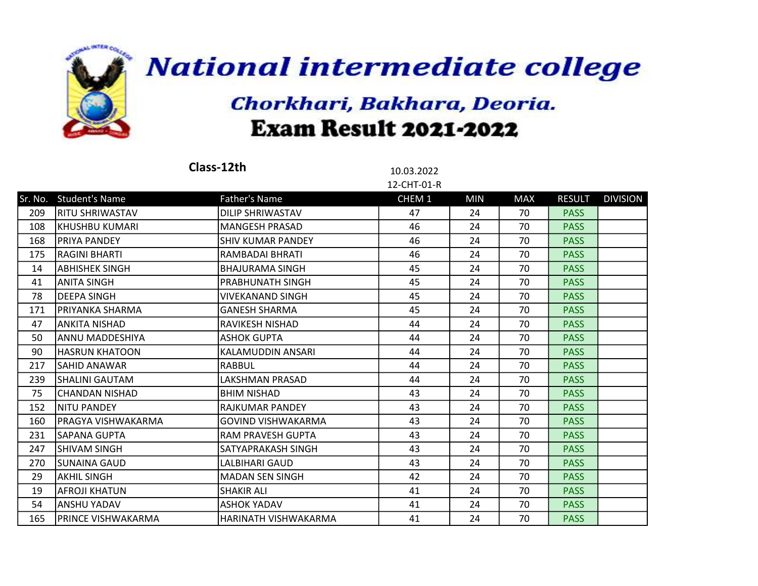

|     |                        | Class-12th               | 10.03.2022<br>12-CHT-01-R |            |            |               |                 |
|-----|------------------------|--------------------------|---------------------------|------------|------------|---------------|-----------------|
|     | Sr. No. Student's Name | Father's Name            | CHEM 1                    | <b>MIN</b> | <b>MAX</b> | <b>RESULT</b> | <b>DIVISION</b> |
| 209 | <b>RITU SHRIWASTAV</b> | DILIP SHRIWASTAV         | 47                        | 24         | 70         | <b>PASS</b>   |                 |
| 108 | KHUSHBU KUMARI         | <b>MANGESH PRASAD</b>    | 46                        | 24         | 70         | <b>PASS</b>   |                 |
| 168 | <b>PRIYA PANDEY</b>    | <b>SHIV KUMAR PANDEY</b> | 46                        | 24         | 70         | <b>PASS</b>   |                 |
| 175 | <b>RAGINI BHARTI</b>   | RAMBADAI BHRATI          | 46                        | 24         | 70         | <b>PASS</b>   |                 |
| 14  | <b>ABHISHEK SINGH</b>  | <b>BHAJURAMA SINGH</b>   | 45                        | 24         | 70         | <b>PASS</b>   |                 |
| 41  | <b>ANITA SINGH</b>     | PRABHUNATH SINGH         | 45                        | 24         | 70         | <b>PASS</b>   |                 |
| 78  | <b>DEEPA SINGH</b>     | <b>VIVEKANAND SINGH</b>  | 45                        | 24         | 70         | <b>PASS</b>   |                 |
| 171 | IPRIYANKA SHARMA       | <b>GANESH SHARMA</b>     | 45                        | 24         | 70         | <b>PASS</b>   |                 |
| 47  | ANKITA NISHAD          | RAVIKESH NISHAD          | 44                        | 24         | 70         | <b>PASS</b>   |                 |
| 50  | ANNU MADDESHIYA        | <b>ASHOK GUPTA</b>       | 44                        | 24         | 70         | <b>PASS</b>   |                 |
| 90  | <b>HASRUN KHATOON</b>  | KALAMUDDIN ANSARI        | 44                        | 24         | 70         | <b>PASS</b>   |                 |
| 217 | <b>SAHID ANAWAR</b>    | <b>RABBUL</b>            | 44                        | 24         | 70         | <b>PASS</b>   |                 |
| 239 | SHALINI GAUTAM         | LAKSHMAN PRASAD          | 44                        | 24         | 70         | <b>PASS</b>   |                 |
| 75  | CHANDAN NISHAD         | <b>BHIM NISHAD</b>       | 43                        | 24         | 70         | <b>PASS</b>   |                 |
| 152 | NITU PANDEY            | RAJKUMAR PANDEY          | 43                        | 24         | 70         | <b>PASS</b>   |                 |
| 160 | lPRAGYA VISHWAKARMA    | GOVIND VISHWAKARMA       | 43                        | 24         | 70         | <b>PASS</b>   |                 |
| 231 | <b>SAPANA GUPTA</b>    | <b>RAM PRAVESH GUPTA</b> | 43                        | 24         | 70         | <b>PASS</b>   |                 |
| 247 | ISHIVAM SINGH          | SATYAPRAKASH SINGH       | 43                        | 24         | 70         | <b>PASS</b>   |                 |
| 270 | SUNAINA GAUD           | LALBIHARI GAUD           | 43                        | 24         | 70         | <b>PASS</b>   |                 |
| 29  | <b>AKHIL SINGH</b>     | <b>MADAN SEN SINGH</b>   | 42                        | 24         | 70         | <b>PASS</b>   |                 |
| 19  | <b>AFROJI KHATUN</b>   | <b>SHAKIR ALI</b>        | 41                        | 24         | 70         | <b>PASS</b>   |                 |
| 54  | <b>ANSHU YADAV</b>     | <b>ASHOK YADAV</b>       | 41                        | 24         | 70         | <b>PASS</b>   |                 |
| 165 | PRINCE VISHWAKARMA     | HARINATH VISHWAKARMA     | 41                        | 24         | 70         | <b>PASS</b>   |                 |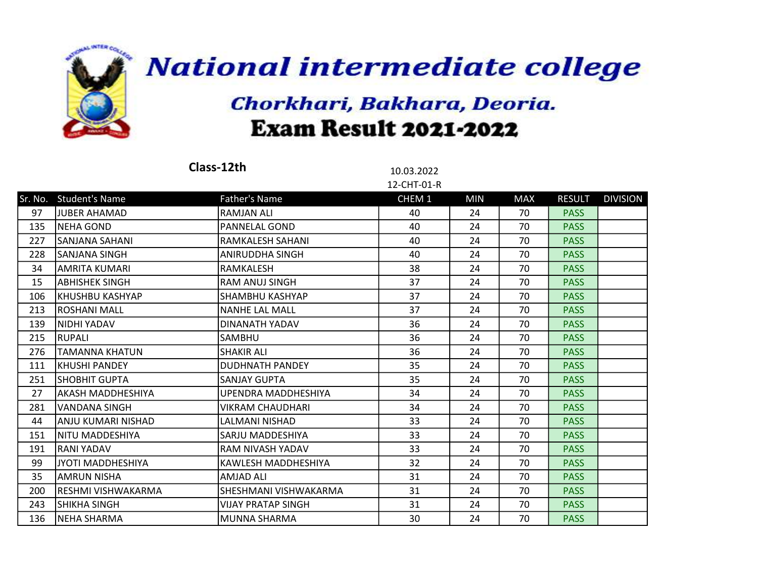

|     |                        | Class-12th                | 10.03.2022  |            |            |               |                 |
|-----|------------------------|---------------------------|-------------|------------|------------|---------------|-----------------|
|     |                        |                           | 12-CHT-01-R |            |            |               |                 |
|     | Sr. No. Student's Name | <b>Father's Name</b>      | CHEM 1      | <b>MIN</b> | <b>MAX</b> | <b>RESULT</b> | <b>DIVISION</b> |
| 97  | <b>JUBER AHAMAD</b>    | <b>RAMJAN ALI</b>         | 40          | 24         | 70         | <b>PASS</b>   |                 |
| 135 | NEHA GOND              | <b>PANNELAL GOND</b>      | 40          | 24         | 70         | <b>PASS</b>   |                 |
| 227 | <b>SANJANA SAHANI</b>  | RAMKALESH SAHANI          | 40          | 24         | 70         | <b>PASS</b>   |                 |
| 228 | <b>SANJANA SINGH</b>   | ANIRUDDHA SINGH           | 40          | 24         | 70         | <b>PASS</b>   |                 |
| 34  | <b>AMRITA KUMARI</b>   | RAMKALESH                 | 38          | 24         | 70         | <b>PASS</b>   |                 |
| 15  | ABHISHEK SINGH         | RAM ANUJ SINGH            | 37          | 24         | 70         | <b>PASS</b>   |                 |
| 106 | KHUSHBU KASHYAP        | SHAMBHU KASHYAP           | 37          | 24         | 70         | <b>PASS</b>   |                 |
| 213 | lROSHANI MALL          | <b>NANHE LAL MALL</b>     | 37          | 24         | 70         | <b>PASS</b>   |                 |
| 139 | INIDHI YADAV           | DINANATH YADAV            | 36          | 24         | 70         | <b>PASS</b>   |                 |
| 215 | RUPALI                 | SAMBHU                    | 36          | 24         | 70         | <b>PASS</b>   |                 |
| 276 | <b>TAMANNA KHATUN</b>  | <b>SHAKIR ALI</b>         | 36          | 24         | 70         | <b>PASS</b>   |                 |
| 111 | <b>KHUSHI PANDEY</b>   | <b>DUDHNATH PANDEY</b>    | 35          | 24         | 70         | <b>PASS</b>   |                 |
| 251 | <b>SHOBHIT GUPTA</b>   | <b>SANJAY GUPTA</b>       | 35          | 24         | 70         | <b>PASS</b>   |                 |
| 27  | AKASH MADDHESHIYA      | UPENDRA MADDHESHIYA       | 34          | 24         | 70         | <b>PASS</b>   |                 |
| 281 | <b>VANDANA SINGH</b>   | VIKRAM CHAUDHARI          | 34          | 24         | 70         | <b>PASS</b>   |                 |
| 44  | ANJU KUMARI NISHAD     | LALMANI NISHAD            | 33          | 24         | 70         | <b>PASS</b>   |                 |
| 151 | NITU MADDESHIYA        | SARJU MADDESHIYA          | 33          | 24         | 70         | <b>PASS</b>   |                 |
| 191 | RANI YADAV             | RAM NIVASH YADAV          | 33          | 24         | 70         | <b>PASS</b>   |                 |
| 99  | JYOTI MADDHESHIYA      | KAWLESH MADDHESHIYA       | 32          | 24         | 70         | <b>PASS</b>   |                 |
| 35  | <b>AMRUN NISHA</b>     | <b>AMJAD ALI</b>          | 31          | 24         | 70         | <b>PASS</b>   |                 |
| 200 | IRESHMI VISHWAKARMA    | SHESHMANI VISHWAKARMA     | 31          | 24         | 70         | <b>PASS</b>   |                 |
| 243 | SHIKHA SINGH           | <b>VIJAY PRATAP SINGH</b> | 31          | 24         | 70         | <b>PASS</b>   |                 |
| 136 | NEHA SHARMA            | <b>MUNNA SHARMA</b>       | 30          | 24         | 70         | <b>PASS</b>   |                 |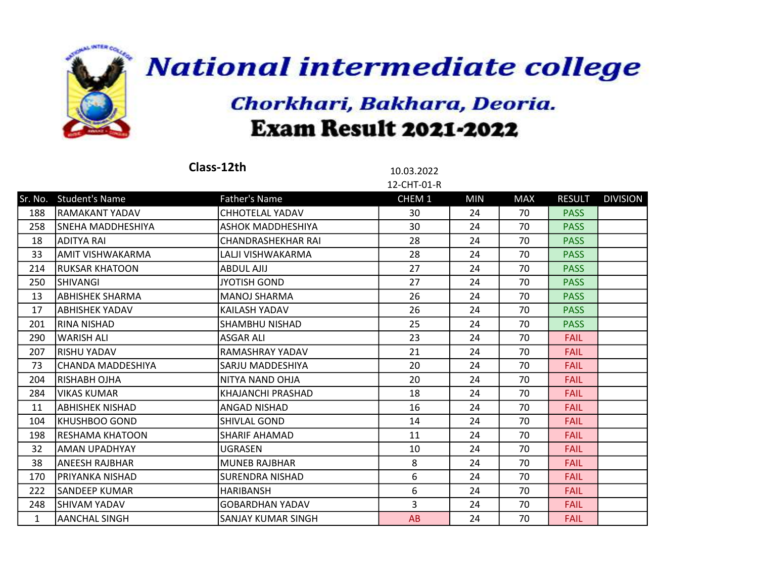

|              |                          | Class-12th                | 10.03.2022<br>12-CHT-01-R |            |            |               |                 |
|--------------|--------------------------|---------------------------|---------------------------|------------|------------|---------------|-----------------|
|              | Sr. No. Student's Name   | Father's Name             | CHEM 1                    | <b>MIN</b> | <b>MAX</b> | <b>RESULT</b> | <b>DIVISION</b> |
| 188          | <b>RAMAKANT YADAV</b>    | <b>CHHOTELAL YADAV</b>    | 30                        | 24         | 70         | <b>PASS</b>   |                 |
| 258          | SNEHA MADDHESHIYA        | ASHOK MADDHESHIYA         | 30                        | 24         | 70         | <b>PASS</b>   |                 |
| 18           | <b>ADITYA RAI</b>        | <b>CHANDRASHEKHAR RAI</b> | 28                        | 24         | 70         | <b>PASS</b>   |                 |
| 33           | AMIT VISHWAKARMA         | LALJI VISHWAKARMA         | 28                        | 24         | 70         | <b>PASS</b>   |                 |
| 214          | <b>RUKSAR KHATOON</b>    | <b>ABDUL AJIJ</b>         | 27                        | 24         | 70         | <b>PASS</b>   |                 |
| 250          | <b>SHIVANGI</b>          | <b>JYOTISH GOND</b>       | 27                        | 24         | 70         | <b>PASS</b>   |                 |
| 13           | ABHISHEK SHARMA          | <b>MANOJ SHARMA</b>       | 26                        | 24         | 70         | <b>PASS</b>   |                 |
| 17           | ABHISHEK YADAV           | KAILASH YADAV             | 26                        | 24         | 70         | <b>PASS</b>   |                 |
| 201          | <b>RINA NISHAD</b>       | SHAMBHU NISHAD            | 25                        | 24         | 70         | <b>PASS</b>   |                 |
| 290          | WARISH ALI               | <b>ASGAR ALI</b>          | 23                        | 24         | 70         | <b>FAIL</b>   |                 |
| 207          | RISHU YADAV              | RAMASHRAY YADAV           | 21                        | 24         | 70         | <b>FAIL</b>   |                 |
| 73           | <b>CHANDA MADDESHIYA</b> | SARJU MADDESHIYA          | 20                        | 24         | 70         | <b>FAIL</b>   |                 |
| 204          | <b>RISHABH OJHA</b>      | NITYA NAND OHJA           | 20                        | 24         | 70         | <b>FAIL</b>   |                 |
| 284          | VIKAS KUMAR              | KHAJANCHI PRASHAD         | 18                        | 24         | 70         | <b>FAIL</b>   |                 |
| 11           | ABHISHEK NISHAD          | ANGAD NISHAD              | 16                        | 24         | 70         | <b>FAIL</b>   |                 |
| 104          | KHUSHBOO GOND            | SHIVLAL GOND              | 14                        | 24         | 70         | <b>FAIL</b>   |                 |
| 198          | lRESHAMA KHATOON         | SHARIF AHAMAD             | 11                        | 24         | 70         | <b>FAIL</b>   |                 |
| 32           | AMAN UPADHYAY            | <b>UGRASEN</b>            | 10                        | 24         | 70         | <b>FAIL</b>   |                 |
| 38           | <b>ANEESH RAJBHAR</b>    | <b>MUNEB RAJBHAR</b>      | 8                         | 24         | 70         | <b>FAIL</b>   |                 |
| 170          | IPRIYANKA NISHAD         | <b>SURENDRA NISHAD</b>    | 6                         | 24         | 70         | <b>FAIL</b>   |                 |
| 222          | SANDEEP KUMAR            | HARIBANSH                 | 6                         | 24         | 70         | <b>FAIL</b>   |                 |
| 248          | <b>SHIVAM YADAV</b>      | <b>GOBARDHAN YADAV</b>    | $\overline{3}$            | 24         | 70         | <b>FAIL</b>   |                 |
| $\mathbf{1}$ | <b>AANCHAL SINGH</b>     | SANJAY KUMAR SINGH        | AB                        | 24         | 70         | <b>FAIL</b>   |                 |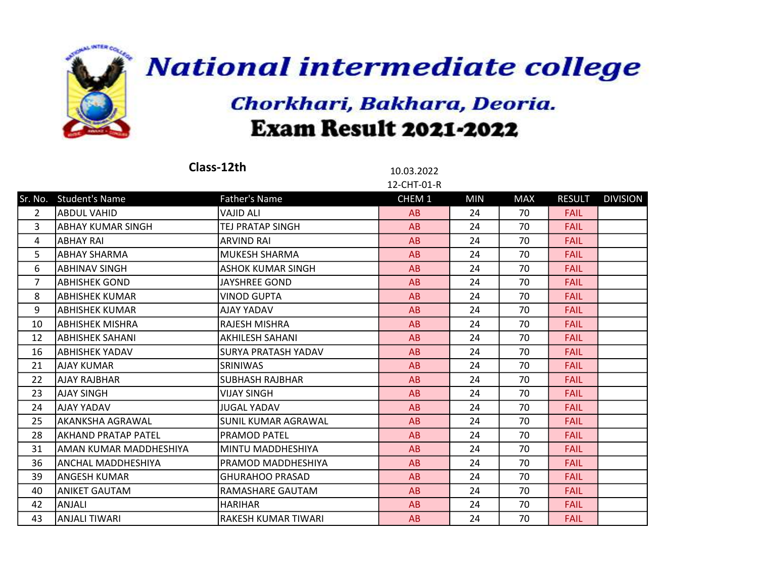

|                |                         | Class-12th               | 10.03.2022        |            |            |               |                 |
|----------------|-------------------------|--------------------------|-------------------|------------|------------|---------------|-----------------|
|                |                         |                          | 12-CHT-01-R       |            |            |               |                 |
|                | Sr. No. Student's Name  | Father's Name            | CHEM <sub>1</sub> | <b>MIN</b> | <b>MAX</b> | <b>RESULT</b> | <b>DIVISION</b> |
| $\mathcal{L}$  | IABDUL VAHID            | VAJID ALI                | AB                | 24         | 70         | <b>FAIL</b>   |                 |
| 3              | labhay kumar singh      | <b>TEJ PRATAP SINGH</b>  | AB                | 24         | 70         | <b>FAIL</b>   |                 |
| 4              | labhay Rai              | <b>ARVIND RAI</b>        | AB                | 24         | 70         | <b>FAIL</b>   |                 |
| 5              | ABHAY SHARMA            | MUKESH SHARMA            | AB                | 24         | 70         | <b>FAIL</b>   |                 |
| 6              | labhinav singh          | <b>ASHOK KUMAR SINGH</b> | AB                | 24         | 70         | <b>FAIL</b>   |                 |
| $\overline{7}$ | ABHISHEK GOND           | <b>JAYSHREE GOND</b>     | AB                | 24         | 70         | <b>FAIL</b>   |                 |
| 8              | ABHISHEK KUMAR          | <b>VINOD GUPTA</b>       | AB                | 24         | 70         | <b>FAIL</b>   |                 |
| 9              | labhishek kumar         | <b>AJAY YADAV</b>        | AB                | 24         | 70         | <b>FAIL</b>   |                 |
| 10             | labhishek Mishra        | <b>RAJESH MISHRA</b>     | AB                | 24         | 70         | <b>FAIL</b>   |                 |
| 12             | labhishek sahani        | <b>AKHILESH SAHANI</b>   | AB                | 24         | 70         | <b>FAIL</b>   |                 |
| 16             | ABHISHEK YADAV          | SURYA PRATASH YADAV      | AB                | 24         | 70         | <b>FAIL</b>   |                 |
| 21             | <b>AJAY KUMAR</b>       | <b>SRINIWAS</b>          | AB                | 24         | 70         | <b>FAIL</b>   |                 |
| 22             | AJAY RAJBHAR            | <b>SUBHASH RAJBHAR</b>   | AB                | 24         | 70         | <b>FAIL</b>   |                 |
| 23             | AJAY SINGH              | <b>VIJAY SINGH</b>       | AB                | 24         | 70         | <b>FAIL</b>   |                 |
| 24             | IAJAY YADAV             | <b>JUGAL YADAV</b>       | AB                | 24         | 70         | <b>FAIL</b>   |                 |
| 25             | AKANKSHA AGRAWAL        | SUNIL KUMAR AGRAWAL      | AB                | 24         | 70         | <b>FAIL</b>   |                 |
| 28             | IAKHAND PRATAP PATEL    | <b>PRAMOD PATEL</b>      | AB                | 24         | 70         | <b>FAIL</b>   |                 |
| 31             | laman kumar maddheshiya | MINTU MADDHESHIYA        | AB                | 24         | 70         | <b>FAIL</b>   |                 |
| 36             | ANCHAL MADDHESHIYA      | PRAMOD MADDHESHIYA       | AB                | 24         | 70         | <b>FAIL</b>   |                 |
| 39             | <b>ANGESH KUMAR</b>     | <b>GHURAHOO PRASAD</b>   | AB                | 24         | 70         | <b>FAIL</b>   |                 |
| 40             | ANIKET GAUTAM           | RAMASHARE GAUTAM         | AB                | 24         | 70         | <b>FAIL</b>   |                 |
| 42             | ANJALI                  | <b>HARIHAR</b>           | AB                | 24         | 70         | <b>FAIL</b>   |                 |
| 43             | <b>ANJALI TIWARI</b>    | RAKESH KUMAR TIWARI      | AB                | 24         | 70         | <b>FAIL</b>   |                 |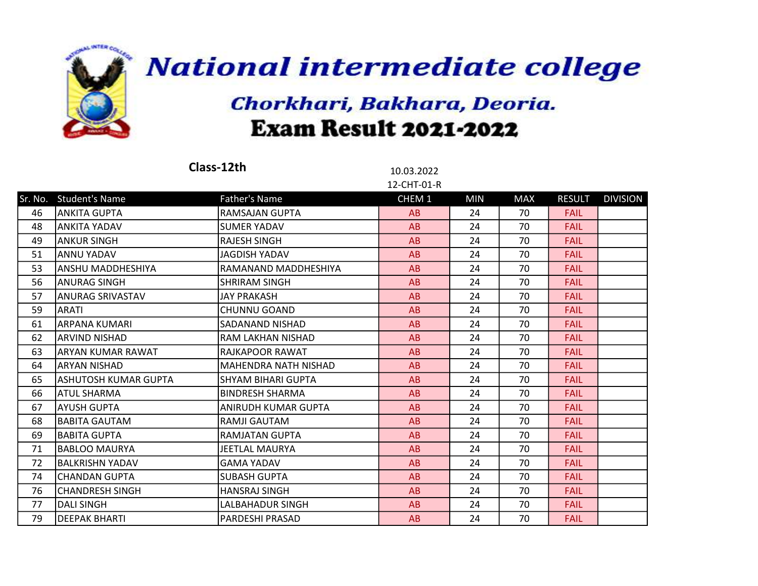

| Class-12th |                        |                             | 10.03.2022  |            |            |               |                 |
|------------|------------------------|-----------------------------|-------------|------------|------------|---------------|-----------------|
|            |                        |                             | 12-CHT-01-R |            |            |               |                 |
|            | Sr. No. Student's Name | <b>Father's Name</b>        | CHEM 1      | <b>MIN</b> | <b>MAX</b> | <b>RESULT</b> | <b>DIVISION</b> |
| 46         | ANKITA GUPTA           | RAMSAJAN GUPTA              | AB          | 24         | 70         | <b>FAIL</b>   |                 |
| 48         | IANKITA YADAV          | <b>SUMER YADAV</b>          | AB          | 24         | 70         | <b>FAIL</b>   |                 |
| 49         | ANKUR SINGH            | <b>RAJESH SINGH</b>         | AB          | 24         | 70         | <b>FAIL</b>   |                 |
| 51         | ANNU YADAV             | JAGDISH YADAV               | AB          | 24         | 70         | <b>FAIL</b>   |                 |
| 53         | lanshu maddheshiya     | RAMANAND MADDHESHIYA        | AB          | 24         | 70         | <b>FAIL</b>   |                 |
| 56         | <b>ANURAG SINGH</b>    | <b>SHRIRAM SINGH</b>        | AB          | 24         | 70         | <b>FAIL</b>   |                 |
| 57         | ANURAG SRIVASTAV       | <b>JAY PRAKASH</b>          | AB          | 24         | 70         | <b>FAIL</b>   |                 |
| 59         | IARATI                 | <b>CHUNNU GOAND</b>         | AB          | 24         | 70         | <b>FAIL</b>   |                 |
| 61         | <b>ARPANA KUMARI</b>   | SADANAND NISHAD             | AB          | 24         | 70         | <b>FAIL</b>   |                 |
| 62         | ARVIND NISHAD          | RAM LAKHAN NISHAD           | AB          | 24         | 70         | <b>FAIL</b>   |                 |
| 63         | ARYAN KUMAR RAWAT      | RAJKAPOOR RAWAT             | AB          | 24         | 70         | <b>FAIL</b>   |                 |
| 64         | laryan nishad          | <b>MAHENDRA NATH NISHAD</b> | AB          | 24         | 70         | <b>FAIL</b>   |                 |
| 65         | ASHUTOSH KUMAR GUPTA   | <b>SHYAM BIHARI GUPTA</b>   | AB          | 24         | 70         | <b>FAIL</b>   |                 |
| 66         | <b>ATUL SHARMA</b>     | <b>BINDRESH SHARMA</b>      | AB          | 24         | 70         | <b>FAIL</b>   |                 |
| 67         | AYUSH GUPTA            | ANIRUDH KUMAR GUPTA         | AB          | 24         | 70         | <b>FAIL</b>   |                 |
| 68         | <b>BABITA GAUTAM</b>   | RAMJI GAUTAM                | AB          | 24         | 70         | <b>FAIL</b>   |                 |
| 69         | <b>BABITA GUPTA</b>    | RAMJATAN GUPTA              | AB          | 24         | 70         | <b>FAIL</b>   |                 |
| 71         | <b>BABLOO MAURYA</b>   | <b>JEETLAL MAURYA</b>       | AB          | 24         | 70         | <b>FAIL</b>   |                 |
| 72         | <b>BALKRISHN YADAV</b> | <b>GAMA YADAV</b>           | AB          | 24         | 70         | <b>FAIL</b>   |                 |
| 74         | <b>CHANDAN GUPTA</b>   | <b>SUBASH GUPTA</b>         | AB          | 24         | 70         | <b>FAIL</b>   |                 |
| 76         | <b>CHANDRESH SINGH</b> | <b>HANSRAJ SINGH</b>        | AB          | 24         | 70         | <b>FAIL</b>   |                 |
| 77         | <b>DALI SINGH</b>      | LALBAHADUR SINGH            | AB          | 24         | 70         | <b>FAIL</b>   |                 |
| 79         | <b>DEEPAK BHARTI</b>   | PARDESHI PRASAD             | AB          | 24         | 70         | <b>FAIL</b>   |                 |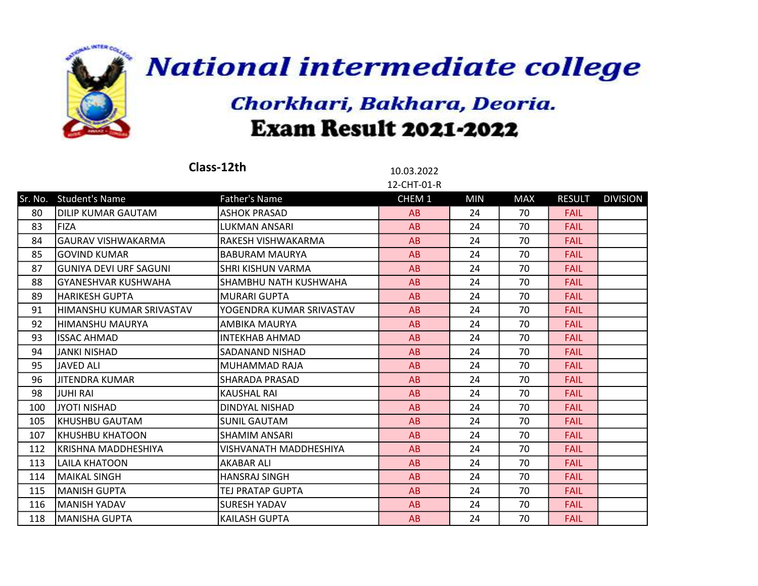

|     |                            | Class-12th               | 10.03.2022  |            |            |               |                 |
|-----|----------------------------|--------------------------|-------------|------------|------------|---------------|-----------------|
|     |                            |                          | 12-CHT-01-R |            |            |               |                 |
|     | Sr. No. Student's Name     | <b>Father's Name</b>     | CHEM 1      | <b>MIN</b> | <b>MAX</b> | <b>RESULT</b> | <b>DIVISION</b> |
| 80  | DILIP KUMAR GAUTAM         | <b>ASHOK PRASAD</b>      | AB          | 24         | 70         | <b>FAIL</b>   |                 |
| 83  | <b>FIZA</b>                | LUKMAN ANSARI            | AB          | 24         | 70         | <b>FAIL</b>   |                 |
| 84  | <b>GAURAV VISHWAKARMA</b>  | RAKESH VISHWAKARMA       | AB          | 24         | 70         | <b>FAIL</b>   |                 |
| 85  | <b>GOVIND KUMAR</b>        | <b>BABURAM MAURYA</b>    | AB          | 24         | 70         | <b>FAIL</b>   |                 |
| 87  | lGUNIYA DEVI URF SAGUNI    | <b>SHRI KISHUN VARMA</b> | AB          | 24         | 70         | <b>FAIL</b>   |                 |
| 88  | <b>GYANESHVAR KUSHWAHA</b> | SHAMBHU NATH KUSHWAHA    | AB          | 24         | 70         | <b>FAIL</b>   |                 |
| 89  | <b>HARIKESH GUPTA</b>      | <b>MURARI GUPTA</b>      | AB          | 24         | 70         | <b>FAIL</b>   |                 |
| 91  | HIMANSHU KUMAR SRIVASTAV   | YOGENDRA KUMAR SRIVASTAV | AB          | 24         | 70         | <b>FAIL</b>   |                 |
| 92  | HIMANSHU MAURYA            | AMBIKA MAURYA            | AB          | 24         | 70         | <b>FAIL</b>   |                 |
| 93  | <b>ISSAC AHMAD</b>         | <b>INTEKHAB AHMAD</b>    | AB          | 24         | 70         | <b>FAIL</b>   |                 |
| 94  | <b>JANKI NISHAD</b>        | SADANAND NISHAD          | AB          | 24         | 70         | <b>FAIL</b>   |                 |
| 95  | <b>JAVED ALI</b>           | MUHAMMAD RAJA            | AB          | 24         | 70         | <b>FAIL</b>   |                 |
| 96  | <b>JITENDRA KUMAR</b>      | <b>SHARADA PRASAD</b>    | AB          | 24         | 70         | <b>FAIL</b>   |                 |
| 98  | JUHI RAI                   | <b>KAUSHAL RAI</b>       | AB          | 24         | 70         | <b>FAIL</b>   |                 |
| 100 | IJYOTI NISHAD              | DINDYAL NISHAD           | AB          | 24         | 70         | <b>FAIL</b>   |                 |
| 105 | KHUSHBU GAUTAM             | <b>SUNIL GAUTAM</b>      | AB          | 24         | 70         | <b>FAIL</b>   |                 |
| 107 | <b>KHUSHBU KHATOON</b>     | <b>SHAMIM ANSARI</b>     | AB          | 24         | 70         | <b>FAIL</b>   |                 |
| 112 | KRISHNA MADDHESHIYA        | VISHVANATH MADDHESHIYA   | AB          | 24         | 70         | <b>FAIL</b>   |                 |
| 113 | LAILA KHATOON              | <b>AKABAR ALI</b>        | AB          | 24         | 70         | <b>FAIL</b>   |                 |
| 114 | <b>MAIKAL SINGH</b>        | <b>HANSRAJ SINGH</b>     | AB          | 24         | 70         | <b>FAIL</b>   |                 |
| 115 | <b>MANISH GUPTA</b>        | TEJ PRATAP GUPTA         | AB          | 24         | 70         | <b>FAIL</b>   |                 |
| 116 | <b>MANISH YADAV</b>        | <b>SURESH YADAV</b>      | AB          | 24         | 70         | <b>FAIL</b>   |                 |
| 118 | <b>MANISHA GUPTA</b>       | <b>KAILASH GUPTA</b>     | AB          | 24         | 70         | <b>FAIL</b>   |                 |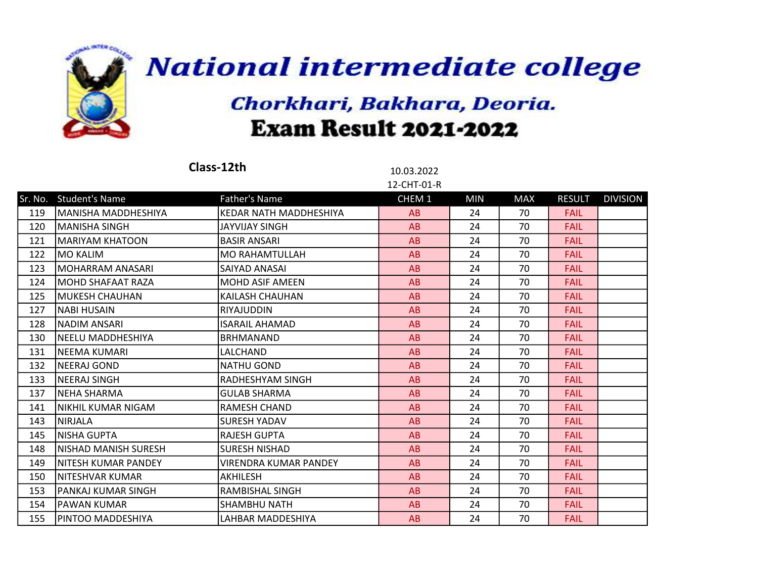

|     |                        | Class-12th                   | 10.03.2022  |            |            |               |                 |
|-----|------------------------|------------------------------|-------------|------------|------------|---------------|-----------------|
|     |                        |                              | 12-CHT-01-R |            |            |               |                 |
|     | Sr. No. Student's Name | <b>Father's Name</b>         | CHEM 1      | <b>MIN</b> | <b>MAX</b> | <b>RESULT</b> | <b>DIVISION</b> |
| 119 | lMANISHA MADDHESHIYA   | KEDAR NATH MADDHESHIYA       | AB          | 24         | 70         | <b>FAIL</b>   |                 |
| 120 | lmanisha singh         | JAYVIJAY SINGH               | AB          | 24         | 70         | <b>FAIL</b>   |                 |
| 121 | IMARIYAM KHATOON       | <b>BASIR ANSARI</b>          | AB          | 24         | 70         | <b>FAIL</b>   |                 |
| 122 | <b>MO KALIM</b>        | <b>MO RAHAMTULLAH</b>        | AB          | 24         | 70         | <b>FAIL</b>   |                 |
| 123 | MOHARRAM ANASARI       | SAIYAD ANASAI                | AB          | 24         | 70         | <b>FAIL</b>   |                 |
| 124 | lMOHD SHAFAAT RAZA     | <b>MOHD ASIF AMEEN</b>       | AB          | 24         | 70         | <b>FAIL</b>   |                 |
| 125 | MUKESH CHAUHAN         | KAILASH CHAUHAN              | AB          | 24         | 70         | <b>FAIL</b>   |                 |
| 127 | <b>NABI HUSAIN</b>     | RIYAJUDDIN                   | AB          | 24         | 70         | <b>FAIL</b>   |                 |
| 128 | INADIM ANSARI          | <b>ISARAIL AHAMAD</b>        | AB          | 24         | 70         | <b>FAIL</b>   |                 |
| 130 | lNEELU MADDHESHIYA     | <b>BRHMANAND</b>             | AB          | 24         | 70         | <b>FAIL</b>   |                 |
| 131 | <b>NEEMA KUMARI</b>    | LALCHAND                     | AB          | 24         | 70         | <b>FAIL</b>   |                 |
| 132 | <b>NEERAJ GOND</b>     | <b>NATHU GOND</b>            | AB          | 24         | 70         | <b>FAIL</b>   |                 |
| 133 | <b>NEERAJ SINGH</b>    | RADHESHYAM SINGH             | AB          | 24         | 70         | <b>FAIL</b>   |                 |
| 137 | NEHA SHARMA            | <b>GULAB SHARMA</b>          | AB          | 24         | 70         | <b>FAIL</b>   |                 |
| 141 | NIKHIL KUMAR NIGAM     | RAMESH CHAND                 | AB          | 24         | 70         | <b>FAIL</b>   |                 |
| 143 | <b>NIRJALA</b>         | <b>SURESH YADAV</b>          | AB          | 24         | 70         | <b>FAIL</b>   |                 |
| 145 | <b>NISHA GUPTA</b>     | <b>RAJESH GUPTA</b>          | AB          | 24         | 70         | <b>FAIL</b>   |                 |
| 148 | NISHAD MANISH SURESH   | <b>SURESH NISHAD</b>         | AB          | 24         | 70         | <b>FAIL</b>   |                 |
| 149 | INITESH KUMAR PANDEY   | <b>VIRENDRA KUMAR PANDEY</b> | AB          | 24         | 70         | <b>FAIL</b>   |                 |
| 150 | INITESHVAR KUMAR       | <b>AKHILESH</b>              | AB          | 24         | 70         | <b>FAIL</b>   |                 |
| 153 | lPANKAJ KUMAR SINGH    | RAMBISHAL SINGH              | AB          | 24         | 70         | <b>FAIL</b>   |                 |
| 154 | PAWAN KUMAR            | SHAMBHU NATH                 | AB          | 24         | 70         | <b>FAIL</b>   |                 |
| 155 | IPINTOO MADDESHIYA     | LAHBAR MADDESHIYA            | AB          | 24         | 70         | <b>FAIL</b>   |                 |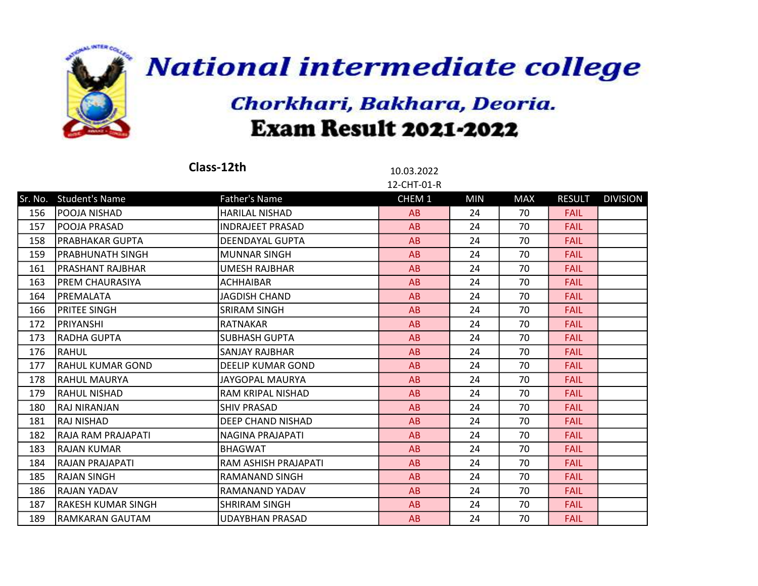

|     |                           | Class-12th              | 10.03.2022<br>12-CHT-01-R |            |            |               |                 |
|-----|---------------------------|-------------------------|---------------------------|------------|------------|---------------|-----------------|
|     | Sr. No. Student's Name    | <b>Father's Name</b>    | CHEM 1                    | <b>MIN</b> | <b>MAX</b> | <b>RESULT</b> | <b>DIVISION</b> |
| 156 | POOJA NISHAD              | <b>HARILAL NISHAD</b>   | AB                        | 24         | 70         | <b>FAIL</b>   |                 |
| 157 | lPOOJA PRASAD             | <b>INDRAJEET PRASAD</b> | AB                        | 24         | 70         | <b>FAIL</b>   |                 |
| 158 | <b>PRABHAKAR GUPTA</b>    | <b>DEENDAYAL GUPTA</b>  | AB                        | 24         | 70         | <b>FAIL</b>   |                 |
| 159 | PRABHUNATH SINGH          | <b>MUNNAR SINGH</b>     | AB                        | 24         | 70         | <b>FAIL</b>   |                 |
| 161 | IPRASHANT RAJBHAR         | <b>UMESH RAJBHAR</b>    | AB                        | 24         | 70         | <b>FAIL</b>   |                 |
| 163 | IPREM CHAURASIYA          | <b>ACHHAIBAR</b>        | AB                        | 24         | 70         | <b>FAIL</b>   |                 |
| 164 | PREMALATA                 | JAGDISH CHAND           | AB                        | 24         | 70         | <b>FAIL</b>   |                 |
| 166 | <b>PRITEE SINGH</b>       | SRIRAM SINGH            | AB                        | 24         | 70         | <b>FAIL</b>   |                 |
| 172 | <b>PRIYANSHI</b>          | <b>RATNAKAR</b>         | AB                        | 24         | 70         | <b>FAIL</b>   |                 |
| 173 | <b>RADHA GUPTA</b>        | <b>SUBHASH GUPTA</b>    | AB                        | 24         | 70         | <b>FAIL</b>   |                 |
| 176 | <b>RAHUL</b>              | <b>SANJAY RAJBHAR</b>   | AB                        | 24         | 70         | <b>FAIL</b>   |                 |
| 177 | <b>RAHUL KUMAR GOND</b>   | DEELIP KUMAR GOND       | AB                        | 24         | 70         | <b>FAIL</b>   |                 |
| 178 | lRAHUL MAURYA             | JAYGOPAL MAURYA         | AB                        | 24         | 70         | <b>FAIL</b>   |                 |
| 179 | RAHUL NISHAD              | RAM KRIPAL NISHAD       | AB                        | 24         | 70         | <b>FAIL</b>   |                 |
| 180 | <b>RAJ NIRANJAN</b>       | <b>SHIV PRASAD</b>      | AB                        | 24         | 70         | <b>FAIL</b>   |                 |
| 181 | RAJ NISHAD                | DEEP CHAND NISHAD       | AB                        | 24         | 70         | <b>FAIL</b>   |                 |
| 182 | RAJA RAM PRAJAPATI        | NAGINA PRAJAPATI        | AB                        | 24         | 70         | <b>FAIL</b>   |                 |
| 183 | RAJAN KUMAR               | <b>BHAGWAT</b>          | AB                        | 24         | 70         | <b>FAIL</b>   |                 |
| 184 | IRAJAN PRAJAPATI          | RAM ASHISH PRAJAPATI    | AB                        | 24         | 70         | <b>FAIL</b>   |                 |
| 185 | <b>RAJAN SINGH</b>        | <b>RAMANAND SINGH</b>   | AB                        | 24         | 70         | <b>FAIL</b>   |                 |
| 186 | <b>RAJAN YADAV</b>        | RAMANAND YADAV          | AB                        | 24         | 70         | <b>FAIL</b>   |                 |
| 187 | <b>RAKESH KUMAR SINGH</b> | <b>SHRIRAM SINGH</b>    | AB                        | 24         | 70         | <b>FAIL</b>   |                 |
| 189 | RAMKARAN GAUTAM           | <b>UDAYBHAN PRASAD</b>  | AB                        | 24         | 70         | <b>FAIL</b>   |                 |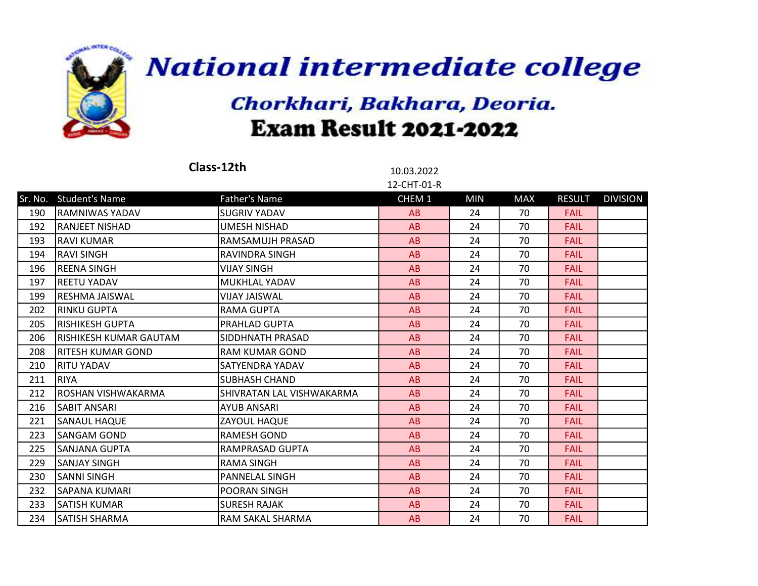

|     |                        | Class-12th                | 10.03.2022<br>12-CHT-01-R |            |            |               |                 |
|-----|------------------------|---------------------------|---------------------------|------------|------------|---------------|-----------------|
|     | Sr. No. Student's Name | <b>Father's Name</b>      | CHEM 1                    | <b>MIN</b> | <b>MAX</b> | <b>RESULT</b> | <b>DIVISION</b> |
| 190 | <b>RAMNIWAS YADAV</b>  | <b>SUGRIV YADAV</b>       | AB                        | 24         | 70         | <b>FAIL</b>   |                 |
| 192 | RANJEET NISHAD         | UMESH NISHAD              | AB                        | 24         | 70         | <b>FAIL</b>   |                 |
| 193 | <b>RAVI KUMAR</b>      | RAMSAMUJH PRASAD          | AB                        | 24         | 70         | <b>FAIL</b>   |                 |
| 194 | <b>RAVI SINGH</b>      | RAVINDRA SINGH            | AB                        | 24         | 70         | <b>FAIL</b>   |                 |
| 196 | REENA SINGH            | <b>VIJAY SINGH</b>        | AB                        | 24         | 70         | <b>FAIL</b>   |                 |
| 197 | REETU YADAV            | MUKHLAL YADAV             | AB                        | 24         | 70         | <b>FAIL</b>   |                 |
| 199 | RESHMA JAISWAL         | <b>VIJAY JAISWAL</b>      | AB                        | 24         | 70         | <b>FAIL</b>   |                 |
| 202 | <b>RINKU GUPTA</b>     | <b>RAMA GUPTA</b>         | AB                        | 24         | 70         | <b>FAIL</b>   |                 |
| 205 | <b>RISHIKESH GUPTA</b> | PRAHLAD GUPTA             | AB                        | 24         | 70         | <b>FAIL</b>   |                 |
| 206 | RISHIKESH KUMAR GAUTAM | SIDDHNATH PRASAD          | AB                        | 24         | 70         | <b>FAIL</b>   |                 |
| 208 | RITESH KUMAR GOND      | <b>RAM KUMAR GOND</b>     | AB                        | 24         | 70         | <b>FAIL</b>   |                 |
| 210 | RITU YADAV             | SATYENDRA YADAV           | AB                        | 24         | 70         | <b>FAIL</b>   |                 |
| 211 | <b>RIYA</b>            | <b>SUBHASH CHAND</b>      | AB                        | 24         | 70         | <b>FAIL</b>   |                 |
| 212 | ROSHAN VISHWAKARMA     | SHIVRATAN LAL VISHWAKARMA | AB                        | 24         | 70         | <b>FAIL</b>   |                 |
| 216 | SABIT ANSARI           | <b>AYUB ANSARI</b>        | AB                        | 24         | 70         | <b>FAIL</b>   |                 |
| 221 | lSANAUL HAQUE          | ZAYOUL HAQUE              | AB                        | 24         | 70         | <b>FAIL</b>   |                 |
| 223 | <b>SANGAM GOND</b>     | <b>RAMESH GOND</b>        | AB                        | 24         | 70         | <b>FAIL</b>   |                 |
| 225 | <b>SANJANA GUPTA</b>   | RAMPRASAD GUPTA           | AB                        | 24         | 70         | <b>FAIL</b>   |                 |
| 229 | <b>SANJAY SINGH</b>    | <b>RAMA SINGH</b>         | AB                        | 24         | 70         | <b>FAIL</b>   |                 |
| 230 | lsanni singh           | <b>PANNELAL SINGH</b>     | AB                        | 24         | 70         | <b>FAIL</b>   |                 |
| 232 | SAPANA KUMARI          | POORAN SINGH              | AB                        | 24         | 70         | <b>FAIL</b>   |                 |
| 233 | <b>SATISH KUMAR</b>    | <b>SURESH RAJAK</b>       | AB                        | 24         | 70         | <b>FAIL</b>   |                 |
| 234 | SATISH SHARMA          | RAM SAKAL SHARMA          | AB                        | 24         | 70         | <b>FAIL</b>   |                 |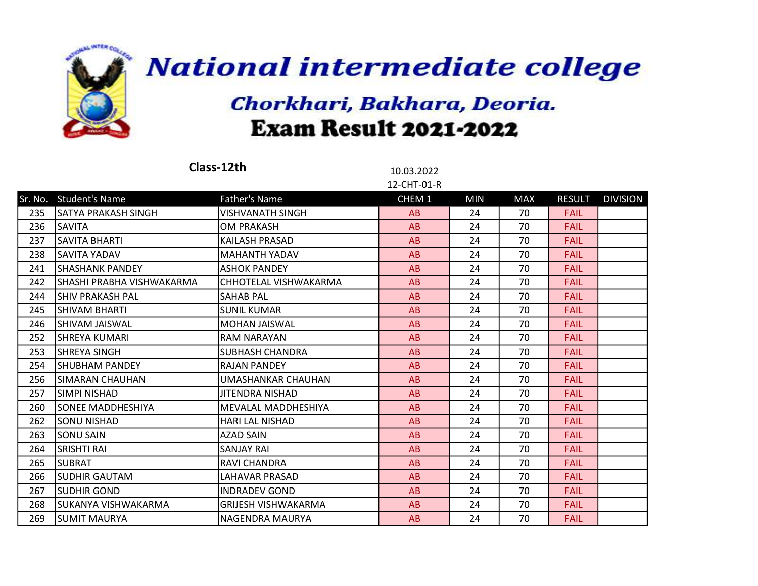

- 1

 $\sim$   $\sim$   $\sim$   $\sim$ 

**National intermediate college** 

|     |                            | Class-12th                 | 10.03.2022  |            |            |               |                 |
|-----|----------------------------|----------------------------|-------------|------------|------------|---------------|-----------------|
|     |                            |                            | 12-CHT-01-R |            |            |               |                 |
|     | Sr. No. Student's Name     | <b>Father's Name</b>       | CHEM 1      | <b>MIN</b> | <b>MAX</b> | <b>RESULT</b> | <b>DIVISION</b> |
| 235 | lSATYA PRAKASH SINGH       | <b>VISHVANATH SINGH</b>    | AB          | 24         | 70         | <b>FAIL</b>   |                 |
| 236 | <b>SAVITA</b>              | <b>OM PRAKASH</b>          | AB          | 24         | 70         | <b>FAIL</b>   |                 |
| 237 | <b>SAVITA BHARTI</b>       | <b>KAILASH PRASAD</b>      | AB          | 24         | 70         | <b>FAIL</b>   |                 |
| 238 | <b>SAVITA YADAV</b>        | <b>MAHANTH YADAV</b>       | AB          | 24         | 70         | <b>FAIL</b>   |                 |
| 241 | SHASHANK PANDEY            | <b>ASHOK PANDEY</b>        | AB          | 24         | 70         | <b>FAIL</b>   |                 |
| 242 | ISHASHI PRABHA VISHWAKARMA | CHHOTELAL VISHWAKARMA      | AB          | 24         | 70         | <b>FAIL</b>   |                 |
| 244 | ISHIV PRAKASH PAL          | <b>SAHAB PAL</b>           | AB          | 24         | 70         | <b>FAIL</b>   |                 |
| 245 | İSHIVAM BHARTI             | <b>SUNIL KUMAR</b>         | AB          | 24         | 70         | <b>FAIL</b>   |                 |
| 246 | İSHIVAM JAISWAL            | <b>MOHAN JAISWAL</b>       | AB          | 24         | 70         | <b>FAIL</b>   |                 |
| 252 | SHREYA KUMARI              | <b>RAM NARAYAN</b>         | AB          | 24         | 70         | <b>FAIL</b>   |                 |
| 253 | <b>SHREYA SINGH</b>        | <b>SUBHASH CHANDRA</b>     | AB          | 24         | 70         | <b>FAIL</b>   |                 |
| 254 | <b>SHUBHAM PANDEY</b>      | <b>RAJAN PANDEY</b>        | AB          | 24         | 70         | <b>FAIL</b>   |                 |
| 256 | <b>SIMARAN CHAUHAN</b>     | UMASHANKAR CHAUHAN         | AB          | 24         | 70         | <b>FAIL</b>   |                 |
| 257 | SIMPI NISHAD               | JITENDRA NISHAD            | AB          | 24         | 70         | <b>FAIL</b>   |                 |
| 260 | lsonee MADDHESHIYA         | <b>MEVALAL MADDHESHIYA</b> | AB          | 24         | 70         | <b>FAIL</b>   |                 |
| 262 | <b>SONU NISHAD</b>         | <b>HARI LAL NISHAD</b>     | AB          | 24         | 70         | <b>FAIL</b>   |                 |
| 263 | <b>SONU SAIN</b>           | <b>AZAD SAIN</b>           | AB          | 24         | 70         | <b>FAIL</b>   |                 |
| 264 | <b>SRISHTI RAI</b>         | <b>SANJAY RAI</b>          | AB          | 24         | 70         | <b>FAIL</b>   |                 |
| 265 | ISUBRAT                    | RAVI CHANDRA               | AB          | 24         | 70         | <b>FAIL</b>   |                 |
| 266 | <b>SUDHIR GAUTAM</b>       | <b>LAHAVAR PRASAD</b>      | AB          | 24         | 70         | <b>FAIL</b>   |                 |
| 267 | SUDHIR GOND                | <b>INDRADEV GOND</b>       | AB          | 24         | 70         | <b>FAIL</b>   |                 |
| 268 | ISUKANYA VISHWAKARMA       | <b>GRIJESH VISHWAKARMA</b> | AB          | 24         | 70         | <b>FAIL</b>   |                 |
| 269 | ISUMIT MAURYA              | <b>NAGENDRA MAURYA</b>     | AB          | 24         | 70         | <b>FAIL</b>   |                 |